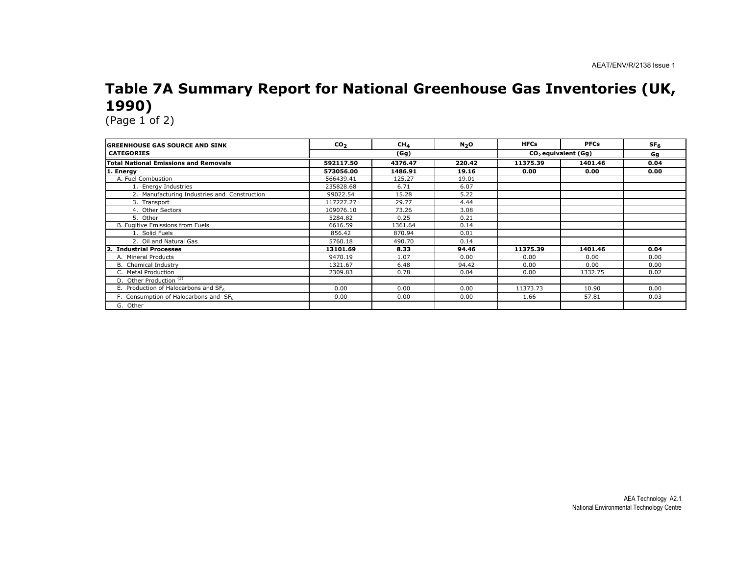## Table 7A Summary Report for National Greenhouse Gas Inventories (UK, 1990)

| <b>IGREENHOUSE GAS SOURCE AND SINK</b>       | CO <sub>2</sub> | CH <sub>4</sub> | N <sub>2</sub> O | <b>HFCs</b> | <b>PFCs</b>                     | SF <sub>6</sub> |
|----------------------------------------------|-----------------|-----------------|------------------|-------------|---------------------------------|-----------------|
| <b>CATEGORIES</b>                            |                 | (Gg)            |                  |             | CO <sub>2</sub> equivalent (Gq) |                 |
| <b>Total National Emissions and Removals</b> | 592117.50       | 4376.47         | 220.42           | 11375.39    | 1401.46                         | 0.04            |
| 1. Energy                                    | 573056.00       | 1486.91         | 19.16            | 0.00        | 0.00                            | 0.00            |
| A. Fuel Combustion                           | 566439.41       | 125.27          | 19.01            |             |                                 |                 |
| 1. Energy Industries                         | 235828.68       | 6.71            | 6.07             |             |                                 |                 |
| 2. Manufacturing Industries and Construction | 99022.54        | 15.28           | 5.22             |             |                                 |                 |
| 3. Transport                                 | 117227.27       | 29.77           | 4.44             |             |                                 |                 |
| 4. Other Sectors                             | 109076.10       | 73.26           | 3.08             |             |                                 |                 |
| 5. Other                                     | 5284.82         | 0.25            | 0.21             |             |                                 |                 |
| B. Fugitive Emissions from Fuels             | 6616.59         | 1361.64         | 0.14             |             |                                 |                 |
| 1. Solid Fuels                               | 856.42          | 870.94          | 0.01             |             |                                 |                 |
| 2. Oil and Natural Gas                       | 5760.18         | 490.70          | 0.14             |             |                                 |                 |
| $\mathbf{2}$<br><b>Industrial Processes</b>  | 13101.69        | 8.33            | 94.46            | 11375.39    | 1401.46                         | 0.04            |
| A. Mineral Products                          | 9470.19         | 1.07            | 0.00             | 0.00        | 0.00                            | 0.00            |
| B. Chemical Industry                         | 1321.67         | 6.48            | 94.42            | 0.00        | 0.00                            | 0.00            |
| C. Metal Production                          | 2309.83         | 0.78            | 0.04             | 0.00        | 1332.75                         | 0.02            |
| D. Other Production <sup>(3)</sup>           |                 |                 |                  |             |                                 |                 |
| E. Production of Halocarbons and SF6         | 0.00            | 0.00            | 0.00             | 11373.73    | 10.90                           | 0.00            |
| F. Consumption of Halocarbons and SF6        | 0.00            | 0.00            | 0.00             | 1.66        | 57.81                           | 0.03            |
| G. Other                                     |                 |                 |                  |             |                                 |                 |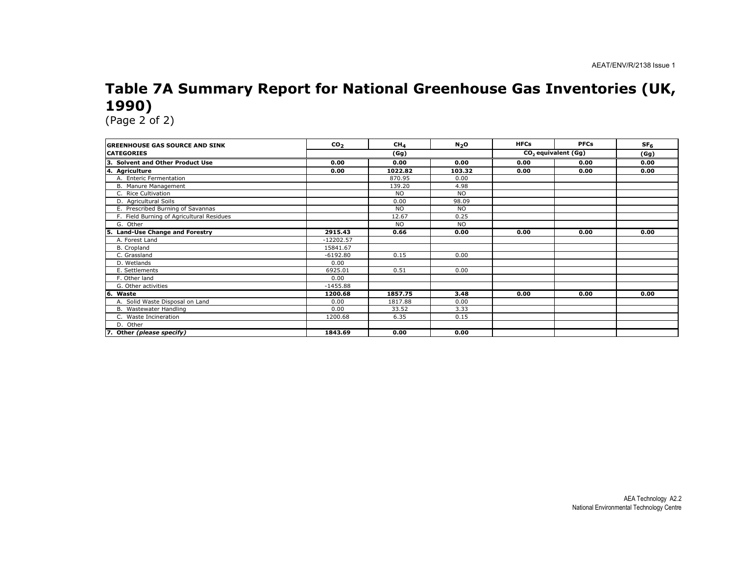# Table 7A Summary Report for National Greenhouse Gas Inventories (UK, 1990)

| <b>GREENHOUSE GAS SOURCE AND SINK</b>     | CO <sub>2</sub> | CH <sub>4</sub> | N <sub>2</sub> O | <b>HFCs</b> | <b>PFCs</b>                     | $SF_{6}$ |
|-------------------------------------------|-----------------|-----------------|------------------|-------------|---------------------------------|----------|
| <b>CATEGORIES</b>                         |                 | (Gg)            |                  |             | CO <sub>2</sub> equivalent (Gg) |          |
| 3. Solvent and Other Product Use          | 0.00            | 0.00            | 0.00             | 0.00        | 0.00                            | 0.00     |
| 4. Agriculture                            | 0.00            | 1022.82         | 103.32           | 0.00        | 0.00                            | 0.00     |
| A. Enteric Fermentation                   |                 | 870.95          | 0.00             |             |                                 |          |
| B. Manure Management                      |                 | 139.20          | 4.98             |             |                                 |          |
| C. Rice Cultivation                       |                 | <b>NO</b>       | <b>NO</b>        |             |                                 |          |
| D. Agricultural Soils                     |                 | 0.00            | 98.09            |             |                                 |          |
| E. Prescribed Burning of Savannas         |                 | <b>NO</b>       | <b>NO</b>        |             |                                 |          |
| F. Field Burning of Agricultural Residues |                 | 12.67           | 0.25             |             |                                 |          |
| G. Other                                  |                 | <b>NO</b>       | <b>NO</b>        |             |                                 |          |
| <b>Land-Use Change and Forestry</b><br>5. | 2915.43         | 0.66            | 0.00             | 0.00        | 0.00                            | 0.00     |
| A. Forest Land                            | $-12202.57$     |                 |                  |             |                                 |          |
| B. Cropland                               | 15841.67        |                 |                  |             |                                 |          |
| C. Grassland                              | $-6192.80$      | 0.15            | 0.00             |             |                                 |          |
| D. Wetlands                               | 0.00            |                 |                  |             |                                 |          |
| E. Settlements                            | 6925.01         | 0.51            | 0.00             |             |                                 |          |
| F. Other land                             | 0.00            |                 |                  |             |                                 |          |
| G. Other activities                       | $-1455.88$      |                 |                  |             |                                 |          |
| 6. Waste                                  | 1200.68         | 1857.75         | 3.48             | 0.00        | 0.00                            | 0.00     |
| A. Solid Waste Disposal on Land           | 0.00            | 1817.88         | 0.00             |             |                                 |          |
| B. Wastewater Handling                    | 0.00            | 33.52           | 3.33             |             |                                 |          |
| C. Waste Incineration                     | 1200.68         | 6.35            | 0.15             |             |                                 |          |
| D. Other                                  |                 |                 |                  |             |                                 |          |
| 7. Other (please specify)                 | 1843.69         | 0.00            | 0.00             |             |                                 |          |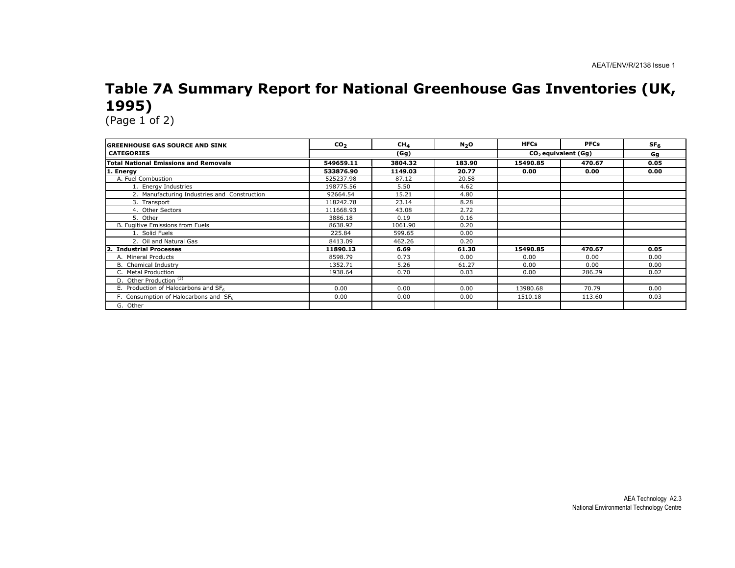# Table 7A Summary Report for National Greenhouse Gas Inventories (UK, 1995)

| <b>IGREENHOUSE GAS SOURCE AND SINK</b>       | CO <sub>2</sub> | CH <sub>4</sub> | N <sub>2</sub> O | <b>HFCs</b> | <b>PFCs</b>                     | SF <sub>6</sub> |
|----------------------------------------------|-----------------|-----------------|------------------|-------------|---------------------------------|-----------------|
| <b>CATEGORIES</b>                            |                 | (Gg)            |                  |             | CO <sub>2</sub> equivalent (Gq) |                 |
| <b>Total National Emissions and Removals</b> | 549659.11       | 3804.32         | 183.90           | 15490.85    | 470.67                          | 0.05            |
| 1. Energy                                    | 533876.90       | 1149.03         | 20.77            | 0.00        | 0.00                            | 0.00            |
| A. Fuel Combustion                           | 525237.98       | 87.12           | 20.58            |             |                                 |                 |
| 1. Energy Industries                         | 198775.56       | 5.50            | 4.62             |             |                                 |                 |
| 2. Manufacturing Industries and Construction | 92664.54        | 15.21           | 4.80             |             |                                 |                 |
| 3. Transport                                 | 118242.78       | 23.14           | 8.28             |             |                                 |                 |
| 4. Other Sectors                             | 111668.93       | 43.08           | 2.72             |             |                                 |                 |
| 5. Other                                     | 3886.18         | 0.19            | 0.16             |             |                                 |                 |
| B. Fugitive Emissions from Fuels             | 8638.92         | 1061.90         | 0.20             |             |                                 |                 |
| 1. Solid Fuels                               | 225.84          | 599.65          | 0.00             |             |                                 |                 |
| 2. Oil and Natural Gas                       | 8413.09         | 462.26          | 0.20             |             |                                 |                 |
| $\mathbf{2}$<br><b>Industrial Processes</b>  | 11890.13        | 6.69            | 61.30            | 15490.85    | 470.67                          | 0.05            |
| A. Mineral Products                          | 8598.79         | 0.73            | 0.00             | 0.00        | 0.00                            | 0.00            |
| B. Chemical Industry                         | 1352.71         | 5.26            | 61.27            | 0.00        | 0.00                            | 0.00            |
| C. Metal Production                          | 1938.64         | 0.70            | 0.03             | 0.00        | 286.29                          | 0.02            |
| D. Other Production <sup>(3)</sup>           |                 |                 |                  |             |                                 |                 |
| E. Production of Halocarbons and SF6         | 0.00            | 0.00            | 0.00             | 13980.68    | 70.79                           | 0.00            |
| F. Consumption of Halocarbons and SF6        | 0.00            | 0.00            | 0.00             | 1510.18     | 113.60                          | 0.03            |
| G. Other                                     |                 |                 |                  |             |                                 |                 |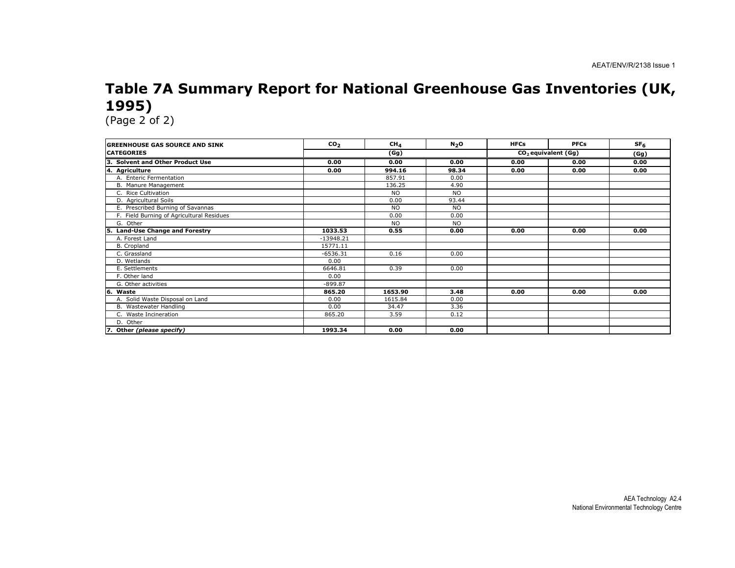# Table 7A Summary Report for National Greenhouse Gas Inventories (UK, 1995)

| <b>IGREENHOUSE GAS SOURCE AND SINK</b>    | CO <sub>2</sub> | CH <sub>4</sub> | N <sub>2</sub> O | <b>HFCs</b> | <b>PFCs</b>                     | SF <sub>6</sub> |
|-------------------------------------------|-----------------|-----------------|------------------|-------------|---------------------------------|-----------------|
| <b>ICATEGORIES</b>                        | (Gg)            |                 |                  |             | CO <sub>2</sub> equivalent (Gg) |                 |
| <b>Solvent and Other Product Use</b>      | 0.00            | 0.00            | 0.00             | 0.00        | 0.00                            | 0.00            |
| 4. Agriculture                            | 0.00            | 994.16          | 98.34            | 0.00        | 0.00                            | 0.00            |
| A. Enteric Fermentation                   |                 | 857.91          | 0.00             |             |                                 |                 |
| B. Manure Management                      |                 | 136.25          | 4.90             |             |                                 |                 |
| C. Rice Cultivation                       |                 | <b>NO</b>       | <b>NO</b>        |             |                                 |                 |
| D. Agricultural Soils                     |                 | 0.00            | 93.44            |             |                                 |                 |
| E. Prescribed Burning of Savannas         |                 | <b>NO</b>       | <b>NO</b>        |             |                                 |                 |
| F. Field Burning of Agricultural Residues |                 | 0.00            | 0.00             |             |                                 |                 |
| G. Other                                  |                 | <b>NO</b>       | <b>NO</b>        |             |                                 |                 |
| <b>Land-Use Change and Forestry</b><br>5. | 1033.53         | 0.55            | 0.00             | 0.00        | 0.00                            | 0.00            |
| A. Forest Land                            | $-13948.21$     |                 |                  |             |                                 |                 |
| B. Cropland                               | 15771.11        |                 |                  |             |                                 |                 |
| C. Grassland                              | $-6536.31$      | 0.16            | 0.00             |             |                                 |                 |
| D. Wetlands                               | 0.00            |                 |                  |             |                                 |                 |
| E. Settlements                            | 6646.81         | 0.39            | 0.00             |             |                                 |                 |
| F. Other land                             | 0.00            |                 |                  |             |                                 |                 |
| G. Other activities                       | $-899.87$       |                 |                  |             |                                 |                 |
| 16.<br>Waste                              | 865.20          | 1653.90         | 3.48             | 0.00        | 0.00                            | 0.00            |
| A. Solid Waste Disposal on Land           | 0.00            | 1615.84         | 0.00             |             |                                 |                 |
| B. Wastewater Handling                    | 0.00            | 34.47           | 3.36             |             |                                 |                 |
| C. Waste Incineration                     | 865.20          | 3.59            | 0.12             |             |                                 |                 |
| D. Other                                  |                 |                 |                  |             |                                 |                 |
| 7. Other (please specify)                 | 1993.34         | 0.00            | 0.00             |             |                                 |                 |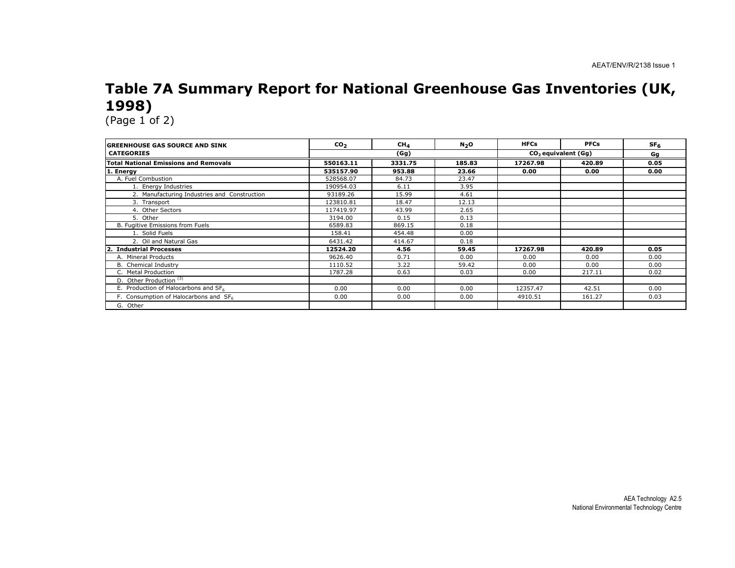## Table 7A Summary Report for National Greenhouse Gas Inventories (UK, 1998)

| <b>GREENHOUSE GAS SOURCE AND SINK</b>             | CO <sub>2</sub> | CH <sub>4</sub> | N <sub>2</sub> O | <b>HFCs</b> | <b>PFCs</b>                     | SF <sub>6</sub> |
|---------------------------------------------------|-----------------|-----------------|------------------|-------------|---------------------------------|-----------------|
| <b>CATEGORIES</b>                                 |                 | (Gg)            |                  |             | CO <sub>2</sub> equivalent (Gq) | Gg              |
| <b>Total National Emissions and Removals</b>      | 550163.11       | 3331.75         | 185.83           | 17267.98    | 420.89                          | 0.05            |
| 1. Energy                                         | 535157.90       | 953.88          | 23.66            | 0.00        | 0.00                            | 0.00            |
| A. Fuel Combustion                                | 528568.07       | 84.73           | 23.47            |             |                                 |                 |
| 1. Energy Industries                              | 190954.03       | 6.11            | 3.95             |             |                                 |                 |
| 2. Manufacturing Industries and Construction      | 93189.26        | 15.99           | 4.61             |             |                                 |                 |
| 3. Transport                                      | 123810.81       | 18.47           | 12.13            |             |                                 |                 |
| 4. Other Sectors                                  | 117419.97       | 43.99           | 2.65             |             |                                 |                 |
| 5. Other                                          | 3194.00         | 0.15            | 0.13             |             |                                 |                 |
| B. Fugitive Emissions from Fuels                  | 6589.83         | 869.15          | 0.18             |             |                                 |                 |
| 1. Solid Fuels                                    | 158.41          | 454.48          | 0.00             |             |                                 |                 |
| 2. Oil and Natural Gas                            | 6431.42         | 414.67          | 0.18             |             |                                 |                 |
| <b>Industrial Processes</b><br>$\mathbf{2}$       | 12524.20        | 4.56            | 59.45            | 17267.98    | 420.89                          | 0.05            |
| A. Mineral Products                               | 9626.40         | 0.71            | 0.00             | 0.00        | 0.00                            | 0.00            |
| B. Chemical Industry                              | 1110.52         | 3.22            | 59.42            | 0.00        | 0.00                            | 0.00            |
| C. Metal Production                               | 1787.28         | 0.63            | 0.03             | 0.00        | 217.11                          | 0.02            |
| D. Other Production <sup>(3)</sup>                |                 |                 |                  |             |                                 |                 |
| E. Production of Halocarbons and SF6              | 0.00            | 0.00            | 0.00             | 12357.47    | 42.51                           | 0.00            |
| F. Consumption of Halocarbons and SF <sub>6</sub> | 0.00            | 0.00            | 0.00             | 4910.51     | 161.27                          | 0.03            |
| G. Other                                          |                 |                 |                  |             |                                 |                 |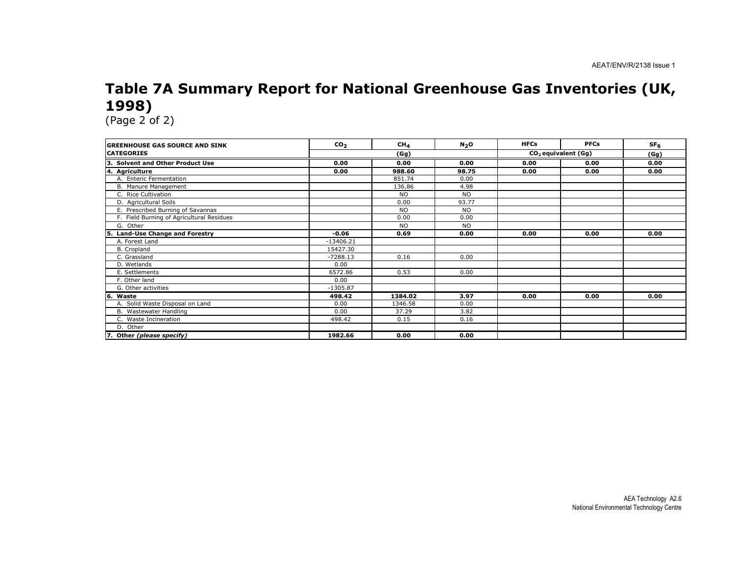## Table 7A Summary Report for National Greenhouse Gas Inventories (UK, 1998)

| <b>GREENHOUSE GAS SOURCE AND SINK</b>     | CO <sub>2</sub> | CH <sub>4</sub> | N <sub>2</sub> O | <b>HFCs</b> | <b>PFCs</b>                     | SF <sub>6</sub> |
|-------------------------------------------|-----------------|-----------------|------------------|-------------|---------------------------------|-----------------|
| <b>CATEGORIES</b>                         |                 | (Gg)            |                  |             | CO <sub>2</sub> equivalent (Gg) |                 |
| 3. Solvent and Other Product Use          | 0.00            | 0.00            | 0.00             | 0.00        | 0.00                            | 0.00            |
| 4. Agriculture                            | 0.00            | 988.60          | 98.75            | 0.00        | 0.00                            | 0.00            |
| A. Enteric Fermentation                   |                 | 851.74          | 0.00             |             |                                 |                 |
| B. Manure Management                      |                 | 136.86          | 4.98             |             |                                 |                 |
| C. Rice Cultivation                       |                 | <b>NO</b>       | <b>NO</b>        |             |                                 |                 |
| D. Agricultural Soils                     |                 | 0.00            | 93.77            |             |                                 |                 |
| E. Prescribed Burning of Savannas         |                 | <b>NO</b>       | <b>NO</b>        |             |                                 |                 |
| F. Field Burning of Agricultural Residues |                 | 0.00            | 0.00             |             |                                 |                 |
| G. Other                                  |                 | <b>NO</b>       | <b>NO</b>        |             |                                 |                 |
| <b>Land-Use Change and Forestry</b><br>5. | $-0.06$         | 0.69            | 0.00             | 0.00        | 0.00                            | 0.00            |
| A. Forest Land                            | $-13406.21$     |                 |                  |             |                                 |                 |
| B. Cropland                               | 15427.30        |                 |                  |             |                                 |                 |
| C. Grassland                              | $-7288.13$      | 0.16            | 0.00             |             |                                 |                 |
| D. Wetlands                               | 0.00            |                 |                  |             |                                 |                 |
| E. Settlements                            | 6572.86         | 0.53            | 0.00             |             |                                 |                 |
| F. Other land                             | 0.00            |                 |                  |             |                                 |                 |
| G. Other activities                       | $-1305.87$      |                 |                  |             |                                 |                 |
| 6. Waste                                  | 498.42          | 1384.02         | 3.97             | 0.00        | 0.00                            | 0.00            |
| A. Solid Waste Disposal on Land           | 0.00            | 1346.58         | 0.00             |             |                                 |                 |
| B. Wastewater Handling                    | 0.00            | 37.29           | 3.82             |             |                                 |                 |
| C. Waste Incineration                     | 498.42          | 0.15            | 0.16             |             |                                 |                 |
| D. Other                                  |                 |                 |                  |             |                                 |                 |
| 7. Other (please specify)                 | 1982.66         | 0.00            | 0.00             |             |                                 |                 |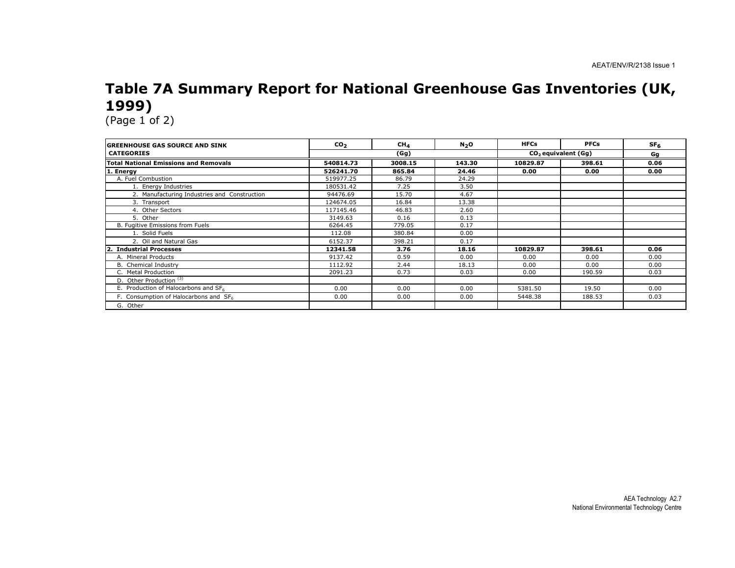# Table 7A Summary Report for National Greenhouse Gas Inventories (UK, 1999)

| <b>IGREENHOUSE GAS SOURCE AND SINK</b>       | CO <sub>2</sub> | CH <sub>4</sub> | N <sub>2</sub> O | <b>HFCs</b> | <b>PFCs</b>                     | SF <sub>6</sub> |
|----------------------------------------------|-----------------|-----------------|------------------|-------------|---------------------------------|-----------------|
| <b>CATEGORIES</b>                            |                 | (Gg)            |                  |             | CO <sub>2</sub> equivalent (Gq) |                 |
| <b>Total National Emissions and Removals</b> | 540814.73       | 3008.15         | 143.30           | 10829.87    | 398.61                          | 0.06            |
| 1. Energy                                    | 526241.70       | 865.84          | 24.46            | 0.00        | 0.00                            | 0.00            |
| A. Fuel Combustion                           | 519977.25       | 86.79           | 24.29            |             |                                 |                 |
| 1. Energy Industries                         | 180531.42       | 7.25            | 3.50             |             |                                 |                 |
| 2. Manufacturing Industries and Construction | 94476.69        | 15.70           | 4.67             |             |                                 |                 |
| 3. Transport                                 | 124674.05       | 16.84           | 13.38            |             |                                 |                 |
| 4. Other Sectors                             | 117145.46       | 46.83           | 2.60             |             |                                 |                 |
| 5. Other                                     | 3149.63         | 0.16            | 0.13             |             |                                 |                 |
| B. Fugitive Emissions from Fuels             | 6264.45         | 779.05          | 0.17             |             |                                 |                 |
| 1. Solid Fuels                               | 112.08          | 380.84          | 0.00             |             |                                 |                 |
| 2. Oil and Natural Gas                       | 6152.37         | 398.21          | 0.17             |             |                                 |                 |
| <b>Industrial Processes</b><br>2.            | 12341.58        | 3.76            | 18.16            | 10829.87    | 398.61                          | 0.06            |
| A. Mineral Products                          | 9137.42         | 0.59            | 0.00             | 0.00        | 0.00                            | 0.00            |
| B. Chemical Industry                         | 1112.92         | 2.44            | 18.13            | 0.00        | 0.00                            | 0.00            |
| C. Metal Production                          | 2091.23         | 0.73            | 0.03             | 0.00        | 190.59                          | 0.03            |
| D. Other Production <sup>(3)</sup>           |                 |                 |                  |             |                                 |                 |
| E. Production of Halocarbons and SF6         | 0.00            | 0.00            | 0.00             | 5381.50     | 19.50                           | 0.00            |
| F. Consumption of Halocarbons and SF6        | 0.00            | 0.00            | 0.00             | 5448.38     | 188.53                          | 0.03            |
| G. Other                                     |                 |                 |                  |             |                                 |                 |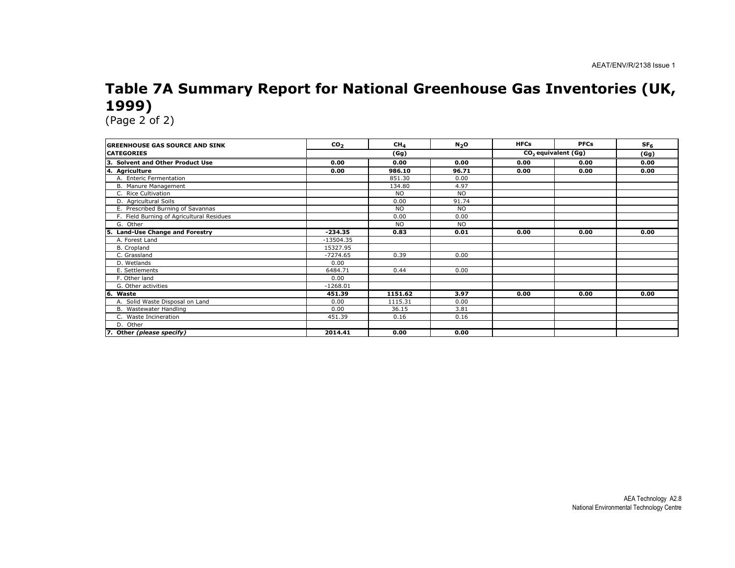# Table 7A Summary Report for National Greenhouse Gas Inventories (UK, 1999)

| <b>GREENHOUSE GAS SOURCE AND SINK</b>     | $\mathbf{co}_2$ | CH <sub>4</sub> | N <sub>2</sub> O | <b>HFCs</b> | <b>PFCs</b>                        | SF <sub>6</sub> |
|-------------------------------------------|-----------------|-----------------|------------------|-------------|------------------------------------|-----------------|
| <b>CATEGORIES</b>                         |                 | (Gg)            |                  |             | $CO2$ equivalent $\overline{(Gg)}$ |                 |
| <b>Solvent and Other Product Use</b>      | 0.00            | 0.00            | 0.00             | 0.00        | 0.00                               | 0.00            |
| Ι4.<br><b>Agriculture</b>                 | 0.00            | 986.10          | 96.71            | 0.00        | 0.00                               | 0.00            |
| A. Enteric Fermentation                   |                 | 851.30          | 0.00             |             |                                    |                 |
| B. Manure Management                      |                 | 134.80          | 4.97             |             |                                    |                 |
| C. Rice Cultivation                       |                 | <b>NO</b>       | <b>NO</b>        |             |                                    |                 |
| D. Agricultural Soils                     |                 | 0.00            | 91.74            |             |                                    |                 |
| E. Prescribed Burning of Savannas         |                 | <b>NO</b>       | <b>NO</b>        |             |                                    |                 |
| F. Field Burning of Agricultural Residues |                 | 0.00            | 0.00             |             |                                    |                 |
| G. Other                                  |                 | <b>NO</b>       | <b>NO</b>        |             |                                    |                 |
| <b>Land-Use Change and Forestry</b>       | $-234.35$       | 0.83            | 0.01             | 0.00        | 0.00                               | 0.00            |
| A. Forest Land                            | $-13504.35$     |                 |                  |             |                                    |                 |
| <b>B.</b> Cropland                        | 15327.95        |                 |                  |             |                                    |                 |
| C. Grassland                              | $-7274.65$      | 0.39            | 0.00             |             |                                    |                 |
| D. Wetlands                               | 0.00            |                 |                  |             |                                    |                 |
| E. Settlements                            | 6484.71         | 0.44            | 0.00             |             |                                    |                 |
| F. Other land                             | 0.00            |                 |                  |             |                                    |                 |
| G. Other activities                       | $-1268.01$      |                 |                  |             |                                    |                 |
| l6.<br>Waste                              | 451.39          | 1151.62         | 3.97             | 0.00        | 0.00                               | 0.00            |
| A. Solid Waste Disposal on Land           | 0.00            | 1115.31         | 0.00             |             |                                    |                 |
| B. Wastewater Handling                    | 0.00            | 36.15           | 3.81             |             |                                    |                 |
| C. Waste Incineration                     | 451.39          | 0.16            | 0.16             |             |                                    |                 |
| D. Other                                  |                 |                 |                  |             |                                    |                 |
| 7. Other (please specify)                 | 2014.41         | 0.00            | 0.00             |             |                                    |                 |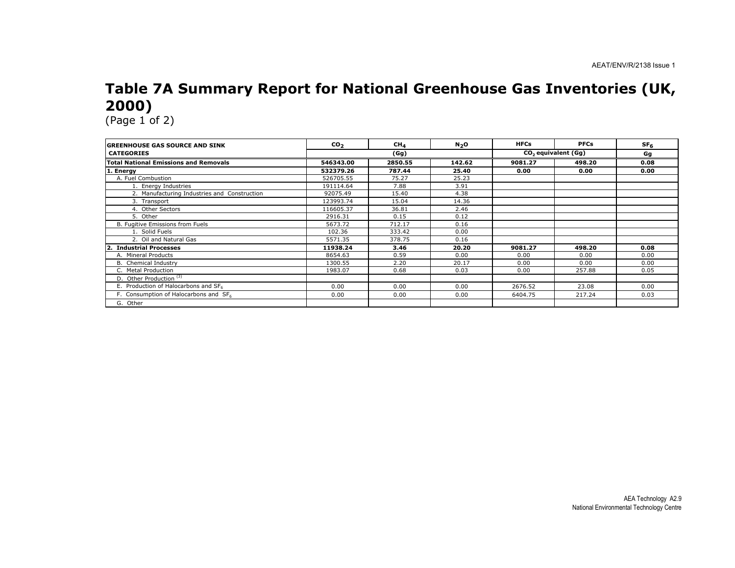## Table 7A Summary Report for National Greenhouse Gas Inventories (UK, 2000)

| <b>GREENHOUSE GAS SOURCE AND SINK</b>        | CO <sub>2</sub> | CH <sub>A</sub> | N <sub>2</sub> O | <b>HFCs</b>                     | <b>PFCs</b> | SF <sub>6</sub> |
|----------------------------------------------|-----------------|-----------------|------------------|---------------------------------|-------------|-----------------|
| <b>CATEGORIES</b>                            |                 | (Gg)            |                  | CO <sub>2</sub> equivalent (Gq) |             | Gg              |
| <b>Total National Emissions and Removals</b> | 546343.00       | 2850.55         | 142.62           | 9081.27                         | 498.20      | 0.08            |
| 1. Energy                                    | 532379.26       | 787.44          | 25.40            | 0.00                            | 0.00        | 0.00            |
| A. Fuel Combustion                           | 526705.55       | 75.27           | 25.23            |                                 |             |                 |
| 1. Energy Industries                         | 191114.64       | 7.88            | 3.91             |                                 |             |                 |
| 2. Manufacturing Industries and Construction | 92075.49        | 15.40           | 4.38             |                                 |             |                 |
| 3. Transport                                 | 123993.74       | 15.04           | 14.36            |                                 |             |                 |
| 4. Other Sectors                             | 116605.37       | 36.81           | 2.46             |                                 |             |                 |
| 5. Other                                     | 2916.31         | 0.15            | 0.12             |                                 |             |                 |
| B. Fugitive Emissions from Fuels             | 5673.72         | 712.17          | 0.16             |                                 |             |                 |
| 1. Solid Fuels                               | 102.36          | 333.42          | 0.00             |                                 |             |                 |
| 2. Oil and Natural Gas                       | 5571.35         | 378.75          | 0.16             |                                 |             |                 |
| <b>Industrial Processes</b>                  | 11938.24        | 3.46            | 20.20            | 9081.27                         | 498.20      | 0.08            |
| A. Mineral Products                          | 8654.63         | 0.59            | 0.00             | 0.00                            | 0.00        | 0.00            |
| B. Chemical Industry                         | 1300.55         | 2.20            | 20.17            | 0.00                            | 0.00        | 0.00            |
| C. Metal Production                          | 1983.07         | 0.68            | 0.03             | 0.00                            | 257.88      | 0.05            |
| D. Other Production <sup>(3)</sup>           |                 |                 |                  |                                 |             |                 |
| E. Production of Halocarbons and SF6         | 0.00            | 0.00            | 0.00             | 2676.52                         | 23.08       | 0.00            |
| F. Consumption of Halocarbons and SF6        | 0.00            | 0.00            | 0.00             | 6404.75                         | 217.24      | 0.03            |
| G. Other                                     |                 |                 |                  |                                 |             |                 |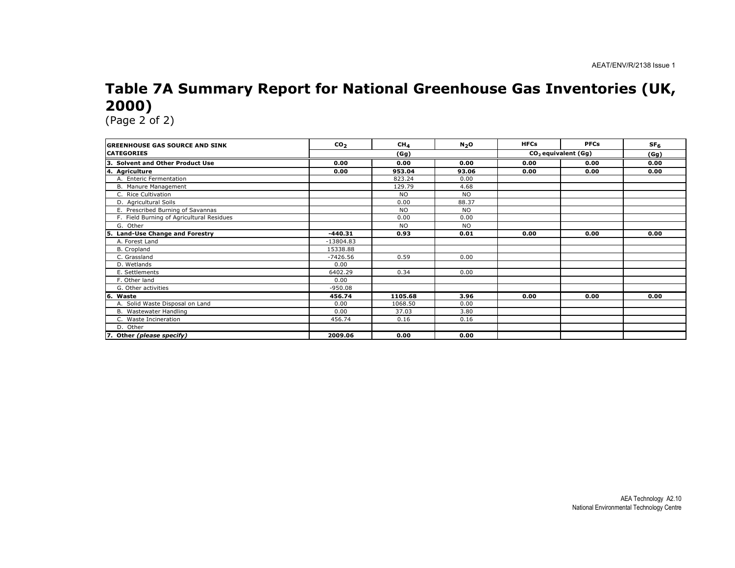## Table 7A Summary Report for National Greenhouse Gas Inventories (UK, 2000)

| <b>GREENHOUSE GAS SOURCE AND SINK</b>      | CO <sub>2</sub> | CH <sub>4</sub> | N <sub>2</sub> O | <b>HFCs</b> | <b>PFCs</b>                     | SF <sub>6</sub> |
|--------------------------------------------|-----------------|-----------------|------------------|-------------|---------------------------------|-----------------|
| <b>CATEGORIES</b>                          |                 | (Gg)            |                  |             | CO <sub>2</sub> equivalent (Gg) |                 |
| З.<br><b>Solvent and Other Product Use</b> | 0.00            | 0.00            | 0.00             | 0.00        | 0.00                            | 0.00            |
| 4. Agriculture                             | 0.00            | 953.04          | 93.06            | 0.00        | 0.00                            | 0.00            |
| A. Enteric Fermentation                    |                 | 823.24          | 0.00             |             |                                 |                 |
| B. Manure Management                       |                 | 129.79          | 4.68             |             |                                 |                 |
| C. Rice Cultivation                        |                 | <b>NO</b>       | <b>NO</b>        |             |                                 |                 |
| D. Agricultural Soils                      |                 | 0.00            | 88.37            |             |                                 |                 |
| E. Prescribed Burning of Savannas          |                 | <b>NO</b>       | <b>NO</b>        |             |                                 |                 |
| F. Field Burning of Agricultural Residues  |                 | 0.00            | 0.00             |             |                                 |                 |
| G. Other                                   |                 | <b>NO</b>       | <b>NO</b>        |             |                                 |                 |
| <b>Land-Use Change and Forestry</b><br>15. | $-440.31$       | 0.93            | 0.01             | 0.00        | 0.00                            | 0.00            |
| A. Forest Land                             | $-13804.83$     |                 |                  |             |                                 |                 |
| B. Cropland                                | 15338.88        |                 |                  |             |                                 |                 |
| C. Grassland                               | $-7426.56$      | 0.59            | 0.00             |             |                                 |                 |
| D. Wetlands                                | 0.00            |                 |                  |             |                                 |                 |
| E. Settlements                             | 6402.29         | 0.34            | 0.00             |             |                                 |                 |
| F. Other land                              | 0.00            |                 |                  |             |                                 |                 |
| G. Other activities                        | $-950.08$       |                 |                  |             |                                 |                 |
| 6.<br>Waste                                | 456.74          | 1105.68         | 3.96             | 0.00        | 0.00                            | 0.00            |
| A. Solid Waste Disposal on Land            | 0.00            | 1068.50         | 0.00             |             |                                 |                 |
| B. Wastewater Handling                     | 0.00            | 37.03           | 3.80             |             |                                 |                 |
| C. Waste Incineration                      | 456.74          | 0.16            | 0.16             |             |                                 |                 |
| D. Other                                   |                 |                 |                  |             |                                 |                 |
| 7. Other (please specify)                  | 2009.06         | 0.00            | 0.00             |             |                                 |                 |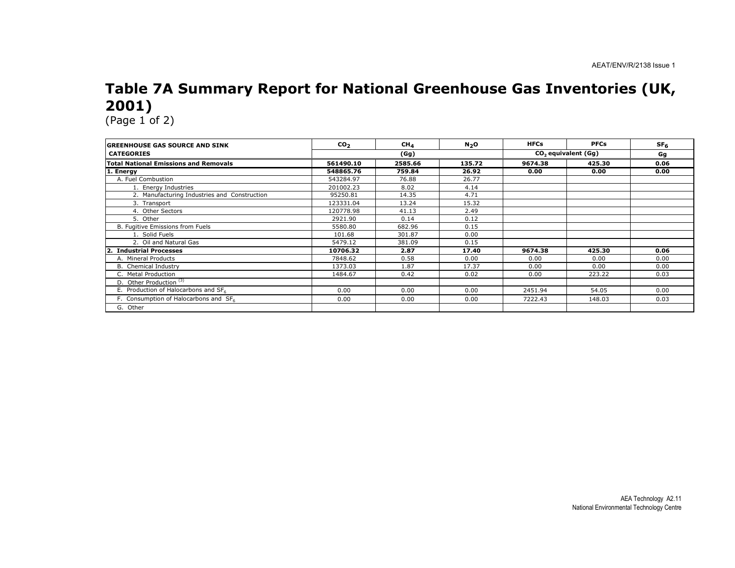# Table 7A Summary Report for National Greenhouse Gas Inventories (UK, 2001)

| <b>GREENHOUSE GAS SOURCE AND SINK</b>        | CO <sub>2</sub> | CH <sub>4</sub> | N <sub>2</sub> O | <b>HFCs</b> | <b>PFCs</b>                     | SF <sub>6</sub> |
|----------------------------------------------|-----------------|-----------------|------------------|-------------|---------------------------------|-----------------|
| <b>CATEGORIES</b>                            |                 | (Gg)            |                  |             | CO <sub>2</sub> equivalent (Gg) |                 |
| <b>Total National Emissions and Removals</b> | 561490.10       | 2585.66         | 135.72           | 9674.38     | 425.30                          | 0.06            |
| 1. Energy                                    | 548865.76       | 759.84          | 26.92            | 0.00        | 0.00                            | 0.00            |
| A. Fuel Combustion                           | 543284.97       | 76.88           | 26.77            |             |                                 |                 |
| 1. Energy Industries                         | 201002.23       | 8.02            | 4.14             |             |                                 |                 |
| 2. Manufacturing Industries and Construction | 95250.81        | 14.35           | 4.71             |             |                                 |                 |
| 3. Transport                                 | 123331.04       | 13.24           | 15.32            |             |                                 |                 |
| 4. Other Sectors                             | 120778.98       | 41.13           | 2.49             |             |                                 |                 |
| 5. Other                                     | 2921.90         | 0.14            | 0.12             |             |                                 |                 |
| B. Fugitive Emissions from Fuels             | 5580.80         | 682.96          | 0.15             |             |                                 |                 |
| 1. Solid Fuels                               | 101.68          | 301.87          | 0.00             |             |                                 |                 |
| 2. Oil and Natural Gas                       | 5479.12         | 381.09          | 0.15             |             |                                 |                 |
| <b>Industrial Processes</b>                  | 10706.32        | 2.87            | 17.40            | 9674.38     | 425.30                          | 0.06            |
| A. Mineral Products                          | 7848.62         | 0.58            | 0.00             | 0.00        | 0.00                            | 0.00            |
| B. Chemical Industry                         | 1373.03         | 1.87            | 17.37            | 0.00        | 0.00                            | 0.00            |
| C. Metal Production                          | 1484.67         | 0.42            | 0.02             | 0.00        | 223.22                          | 0.03            |
| D. Other Production <sup>(3)</sup>           |                 |                 |                  |             |                                 |                 |
| E. Production of Halocarbons and SF6         | 0.00            | 0.00            | 0.00             | 2451.94     | 54.05                           | 0.00            |
| F. Consumption of Halocarbons and SF6        | 0.00            | 0.00            | 0.00             | 7222.43     | 148.03                          | 0.03            |
| G. Other                                     |                 |                 |                  |             |                                 |                 |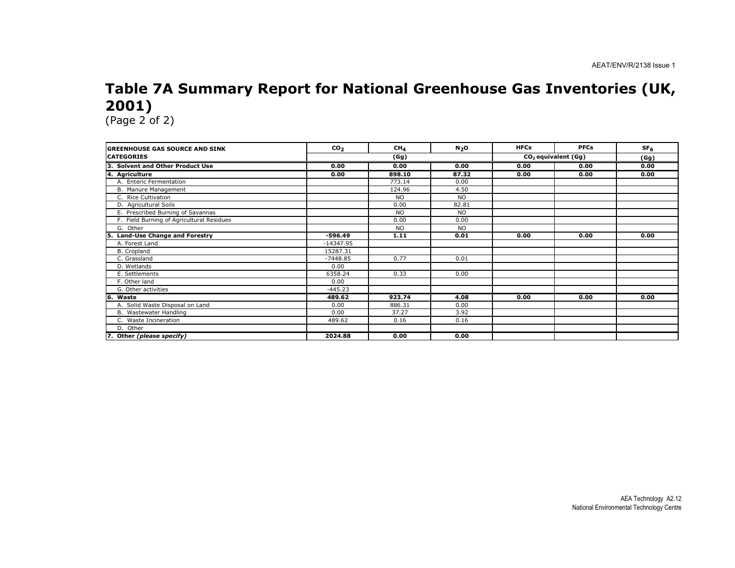# Table 7A Summary Report for National Greenhouse Gas Inventories (UK, 2001)

| <b>GREENHOUSE GAS SOURCE AND SINK</b>     | CO <sub>2</sub> | CH <sub>4</sub> | N <sub>2</sub> O | <b>HFCs</b> | <b>PFCs</b>                     | SF <sub>6</sub> |
|-------------------------------------------|-----------------|-----------------|------------------|-------------|---------------------------------|-----------------|
| <b>CATEGORIES</b>                         | (Gg)            |                 |                  |             | CO <sub>2</sub> equivalent (Gg) | (Gg)            |
| 3. Solvent and Other Product Use          | 0.00            | 0.00            | 0.00             | 0.00        | 0.00                            | 0.00            |
| 4. Agriculture                            | 0.00            | 898.10          | 87.32            | 0.00        | 0.00                            | 0.00            |
| A. Enteric Fermentation                   |                 | 773.14          | 0.00             |             |                                 |                 |
| B. Manure Management                      |                 | 124.96          | 4.50             |             |                                 |                 |
| C. Rice Cultivation                       |                 | <b>NO</b>       | <b>NO</b>        |             |                                 |                 |
| D. Agricultural Soils                     |                 | 0.00            | 82.81            |             |                                 |                 |
| E. Prescribed Burning of Savannas         |                 | <b>NO</b>       | <b>NO</b>        |             |                                 |                 |
| F. Field Burning of Agricultural Residues |                 | 0.00            | 0.00             |             |                                 |                 |
| G. Other                                  |                 | <b>NO</b>       | <b>NO</b>        |             |                                 |                 |
| <b>Land-Use Change and Forestry</b>       | $-596.49$       | 1.11            | 0.01             | 0.00        | 0.00                            | 0.00            |
| A. Forest Land                            | $-14347.95$     |                 |                  |             |                                 |                 |
| B. Cropland                               | 15287.31        |                 |                  |             |                                 |                 |
| C. Grassland                              | $-7448.85$      | 0.77            | 0.01             |             |                                 |                 |
| D. Wetlands                               | 0.00            |                 |                  |             |                                 |                 |
| E. Settlements                            | 6358.24         | 0.33            | 0.00             |             |                                 |                 |
| F. Other land                             | 0.00            |                 |                  |             |                                 |                 |
| G. Other activities                       | $-445.23$       |                 |                  |             |                                 |                 |
| 6. Waste                                  | 489.62          | 923.74          | 4.08             | 0.00        | 0.00                            | 0.00            |
| A. Solid Waste Disposal on Land           | 0.00            | 886.31          | 0.00             |             |                                 |                 |
| B. Wastewater Handling                    | 0.00            | 37.27           | 3.92             |             |                                 |                 |
| C. Waste Incineration                     | 489.62          | 0.16            | 0.16             |             |                                 |                 |
| D. Other                                  |                 |                 |                  |             |                                 |                 |
| 7. Other (please specify)                 | 2024.88         | 0.00            | 0.00             |             |                                 |                 |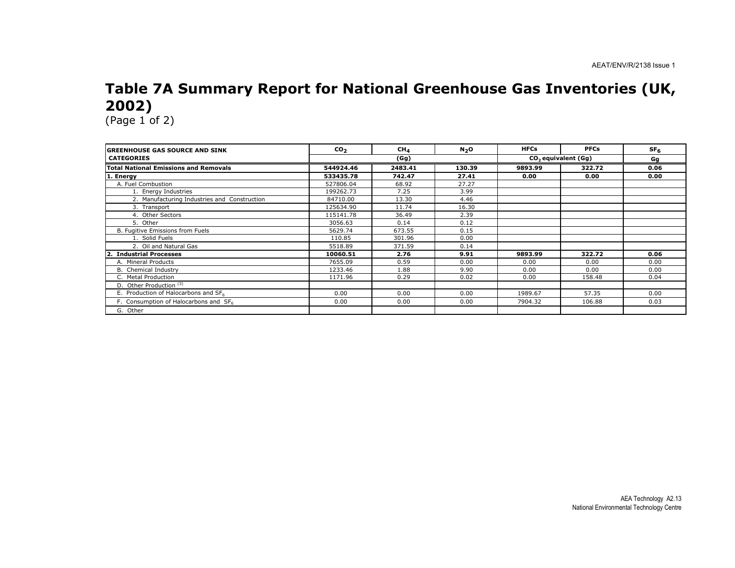# Table 7A Summary Report for National Greenhouse Gas Inventories (UK, 2002)

| <b>GREENHOUSE GAS SOURCE AND SINK</b>        | CO <sub>2</sub> | CH <sub>4</sub> | N <sub>2</sub> O | <b>HFCs</b> | <b>PFCs</b>                     | SF <sub>6</sub> |
|----------------------------------------------|-----------------|-----------------|------------------|-------------|---------------------------------|-----------------|
| <b>CATEGORIES</b>                            |                 | (Gg)            |                  |             | CO <sub>2</sub> equivalent (Gg) | Gg              |
| <b>Total National Emissions and Removals</b> | 544924.46       | 2483.41         | 130.39           | 9893.99     | 322.72                          | 0.06            |
| 1. Energy                                    | 533435.78       | 742.47          | 27.41            | 0.00        | 0.00                            | 0.00            |
| A. Fuel Combustion                           | 527806.04       | 68.92           | 27.27            |             |                                 |                 |
| 1. Energy Industries                         | 199262.73       | 7.25            | 3.99             |             |                                 |                 |
| 2. Manufacturing Industries and Construction | 84710.00        | 13.30           | 4.46             |             |                                 |                 |
| 3. Transport                                 | 125634.90       | 11.74           | 16.30            |             |                                 |                 |
| 4. Other Sectors                             | 115141.78       | 36.49           | 2.39             |             |                                 |                 |
| 5. Other                                     | 3056.63         | 0.14            | 0.12             |             |                                 |                 |
| B. Fugitive Emissions from Fuels             | 5629.74         | 673.55          | 0.15             |             |                                 |                 |
| 1. Solid Fuels                               | 110.85          | 301.96          | 0.00             |             |                                 |                 |
| 2. Oil and Natural Gas                       | 5518.89         | 371.59          | 0.14             |             |                                 |                 |
| <b>Industrial Processes</b>                  | 10060.51        | 2.76            | 9.91             | 9893.99     | 322.72                          | 0.06            |
| A. Mineral Products                          | 7655.09         | 0.59            | 0.00             | 0.00        | 0.00                            | 0.00            |
| B. Chemical Industry                         | 1233.46         | 1.88            | 9.90             | 0.00        | 0.00                            | 0.00            |
| C. Metal Production                          | 1171.96         | 0.29            | 0.02             | 0.00        | 158.48                          | 0.04            |
| D. Other Production (3)                      |                 |                 |                  |             |                                 |                 |
| E. Production of Halocarbons and SF6         | 0.00            | 0.00            | 0.00             | 1989.67     | 57.35                           | 0.00            |
| F. Consumption of Halocarbons and SF6        | 0.00            | 0.00            | 0.00             | 7904.32     | 106.88                          | 0.03            |
| G. Other                                     |                 |                 |                  |             |                                 |                 |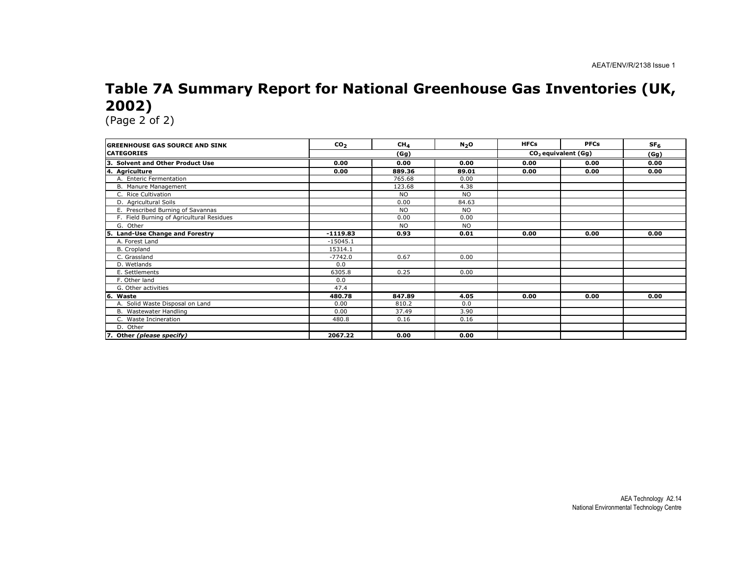# Table 7A Summary Report for National Greenhouse Gas Inventories (UK, 2002)

| <b>GREENHOUSE GAS SOURCE AND SINK</b>      | CO <sub>2</sub> | CH <sub>4</sub> | N <sub>2</sub> O | <b>HFCs</b> | <b>PFCs</b>                     | SF <sub>6</sub> |
|--------------------------------------------|-----------------|-----------------|------------------|-------------|---------------------------------|-----------------|
| <b>CATEGORIES</b>                          |                 | (Gg)            |                  |             | CO <sub>2</sub> equivalent (Gg) | (Gg)            |
| З.<br><b>Solvent and Other Product Use</b> | 0.00            | 0.00            | 0.00             | 0.00        | 0.00                            | 0.00            |
| 4. Agriculture                             | 0.00            | 889.36          | 89.01            | 0.00        | 0.00                            | 0.00            |
| A. Enteric Fermentation                    |                 | 765.68          | 0.00             |             |                                 |                 |
| B. Manure Management                       |                 | 123.68          | 4.38             |             |                                 |                 |
| C. Rice Cultivation                        |                 | <b>NO</b>       | <b>NO</b>        |             |                                 |                 |
| D. Agricultural Soils                      |                 | 0.00            | 84.63            |             |                                 |                 |
| E. Prescribed Burning of Savannas          |                 | <b>NO</b>       | <b>NO</b>        |             |                                 |                 |
| F. Field Burning of Agricultural Residues  |                 | 0.00            | 0.00             |             |                                 |                 |
| G. Other                                   |                 | <b>NO</b>       | <b>NO</b>        |             |                                 |                 |
| <b>Land-Use Change and Forestry</b>        | $-1119.83$      | 0.93            | 0.01             | 0.00        | 0.00                            | 0.00            |
| A. Forest Land                             | $-15045.1$      |                 |                  |             |                                 |                 |
| B. Cropland                                | 15314.1         |                 |                  |             |                                 |                 |
| C. Grassland                               | $-7742.0$       | 0.67            | 0.00             |             |                                 |                 |
| D. Wetlands                                | 0.0             |                 |                  |             |                                 |                 |
| E. Settlements                             | 6305.8          | 0.25            | 0.00             |             |                                 |                 |
| F. Other land                              | 0.0             |                 |                  |             |                                 |                 |
| G. Other activities                        | 47.4            |                 |                  |             |                                 |                 |
| 6.<br>Waste                                | 480.78          | 847.89          | 4.05             | 0.00        | 0.00                            | 0.00            |
| A. Solid Waste Disposal on Land            | 0.00            | 810.2           | 0.0              |             |                                 |                 |
| B. Wastewater Handling                     | 0.00            | 37.49           | 3.90             |             |                                 |                 |
| C. Waste Incineration                      | 480.8           | 0.16            | 0.16             |             |                                 |                 |
| D. Other                                   |                 |                 |                  |             |                                 |                 |
| 7. Other (please specify)                  | 2067.22         | 0.00            | 0.00             |             |                                 |                 |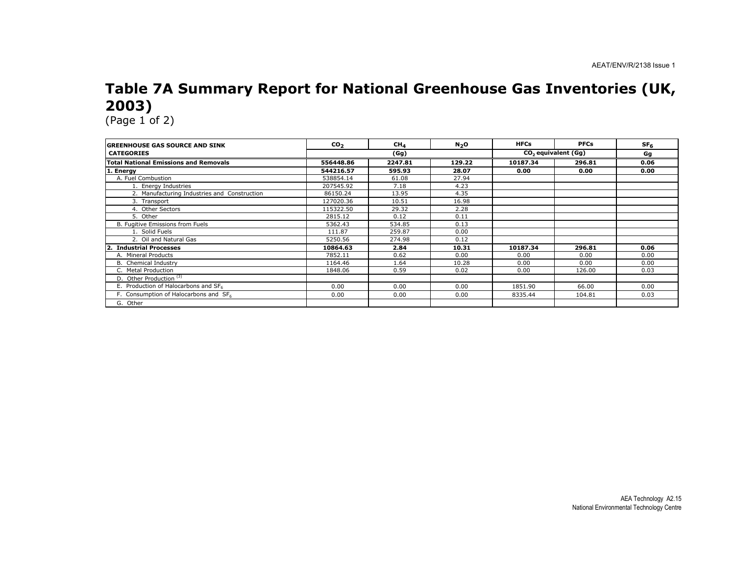# Table 7A Summary Report for National Greenhouse Gas Inventories (UK, 2003)

| <b>GREENHOUSE GAS SOURCE AND SINK</b>        | CO <sub>2</sub> | CH <sub>A</sub> | N <sub>2</sub> O | <b>HFCs</b>                     | <b>PFCs</b> | SF <sub>6</sub> |
|----------------------------------------------|-----------------|-----------------|------------------|---------------------------------|-------------|-----------------|
| <b>CATEGORIES</b>                            |                 | (Gg)            |                  | CO <sub>2</sub> equivalent (Gq) |             | Gg              |
| <b>Total National Emissions and Removals</b> | 556448.86       | 2247.81         | 129.22           | 10187.34                        | 296.81      | 0.06            |
| 1. Energy                                    | 544216.57       | 595.93          | 28.07            | 0.00                            | 0.00        | 0.00            |
| A. Fuel Combustion                           | 538854.14       | 61.08           | 27.94            |                                 |             |                 |
| 1. Energy Industries                         | 207545.92       | 7.18            | 4.23             |                                 |             |                 |
| 2. Manufacturing Industries and Construction | 86150.24        | 13.95           | 4.35             |                                 |             |                 |
| 3. Transport                                 | 127020.36       | 10.51           | 16.98            |                                 |             |                 |
| 4. Other Sectors                             | 115322.50       | 29.32           | 2.28             |                                 |             |                 |
| 5. Other                                     | 2815.12         | 0.12            | 0.11             |                                 |             |                 |
| B. Fugitive Emissions from Fuels             | 5362.43         | 534.85          | 0.13             |                                 |             |                 |
| 1. Solid Fuels                               | 111.87          | 259.87          | 0.00             |                                 |             |                 |
| 2. Oil and Natural Gas                       | 5250.56         | 274.98          | 0.12             |                                 |             |                 |
| <b>Industrial Processes</b>                  | 10864.63        | 2.84            | 10.31            | 10187.34                        | 296.81      | 0.06            |
| A. Mineral Products                          | 7852.11         | 0.62            | 0.00             | 0.00                            | 0.00        | 0.00            |
| B. Chemical Industry                         | 1164.46         | 1.64            | 10.28            | 0.00                            | 0.00        | 0.00            |
| C. Metal Production                          | 1848.06         | 0.59            | 0.02             | 0.00                            | 126.00      | 0.03            |
| D. Other Production <sup>(3)</sup>           |                 |                 |                  |                                 |             |                 |
| E. Production of Halocarbons and SF6         | 0.00            | 0.00            | 0.00             | 1851.90                         | 66.00       | 0.00            |
| F. Consumption of Halocarbons and SF6        | 0.00            | 0.00            | 0.00             | 8335.44                         | 104.81      | 0.03            |
| G. Other                                     |                 |                 |                  |                                 |             |                 |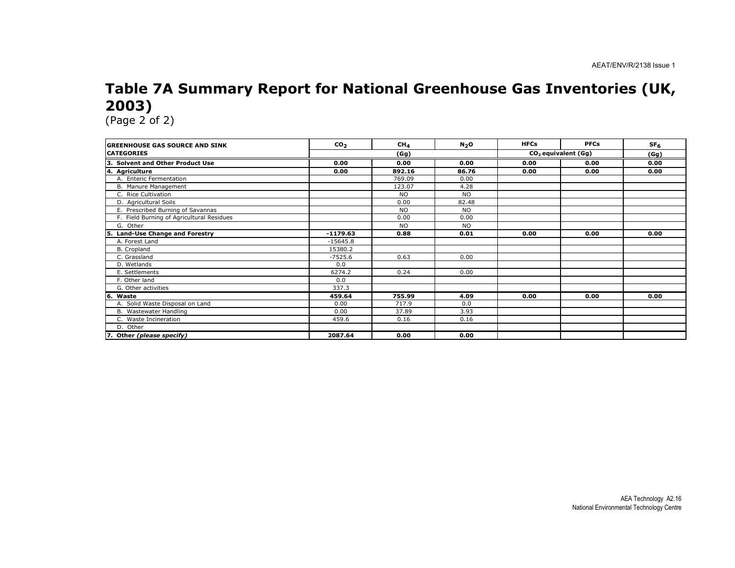# Table 7A Summary Report for National Greenhouse Gas Inventories (UK, 2003)

| <b>GREENHOUSE GAS SOURCE AND SINK</b>      | CO <sub>2</sub> | CH <sub>4</sub> | N <sub>2</sub> O | <b>HFCs</b> | <b>PFCs</b>                     | SF <sub>6</sub> |
|--------------------------------------------|-----------------|-----------------|------------------|-------------|---------------------------------|-----------------|
| <b>CATEGORIES</b>                          |                 | (Gg)            |                  |             | CO <sub>2</sub> equivalent (Gg) | (Gg)            |
| З.<br><b>Solvent and Other Product Use</b> | 0.00            | 0.00            | 0.00             | 0.00        | 0.00                            | 0.00            |
| 4. Agriculture                             | 0.00            | 892.16          | 86.76            | 0.00        | 0.00                            | 0.00            |
| A. Enteric Fermentation                    |                 | 769.09          | 0.00             |             |                                 |                 |
| B. Manure Management                       |                 | 123.07          | 4.28             |             |                                 |                 |
| C. Rice Cultivation                        |                 | <b>NO</b>       | <b>NO</b>        |             |                                 |                 |
| D. Agricultural Soils                      |                 | 0.00            | 82.48            |             |                                 |                 |
| E. Prescribed Burning of Savannas          |                 | <b>NO</b>       | <b>NO</b>        |             |                                 |                 |
| F. Field Burning of Agricultural Residues  |                 | 0.00            | 0.00             |             |                                 |                 |
| G. Other                                   |                 | <b>NO</b>       | <b>NO</b>        |             |                                 |                 |
| <b>Land-Use Change and Forestry</b>        | $-1179.63$      | 0.88            | 0.01             | 0.00        | 0.00                            | 0.00            |
| A. Forest Land                             | $-15645.8$      |                 |                  |             |                                 |                 |
| B. Cropland                                | 15380.2         |                 |                  |             |                                 |                 |
| C. Grassland                               | $-7525.6$       | 0.63            | 0.00             |             |                                 |                 |
| D. Wetlands                                | 0.0             |                 |                  |             |                                 |                 |
| E. Settlements                             | 6274.2          | 0.24            | 0.00             |             |                                 |                 |
| F. Other land                              | 0.0             |                 |                  |             |                                 |                 |
| G. Other activities                        | 337.3           |                 |                  |             |                                 |                 |
| 6.<br>Waste                                | 459.64          | 755.99          | 4.09             | 0.00        | 0.00                            | 0.00            |
| A. Solid Waste Disposal on Land            | 0.00            | 717.9           | 0.0              |             |                                 |                 |
| B. Wastewater Handling                     | 0.00            | 37.89           | 3.93             |             |                                 |                 |
| C. Waste Incineration                      | 459.6           | 0.16            | 0.16             |             |                                 |                 |
| D. Other                                   |                 |                 |                  |             |                                 |                 |
| 7. Other (please specify)                  | 2087.64         | 0.00            | 0.00             |             |                                 |                 |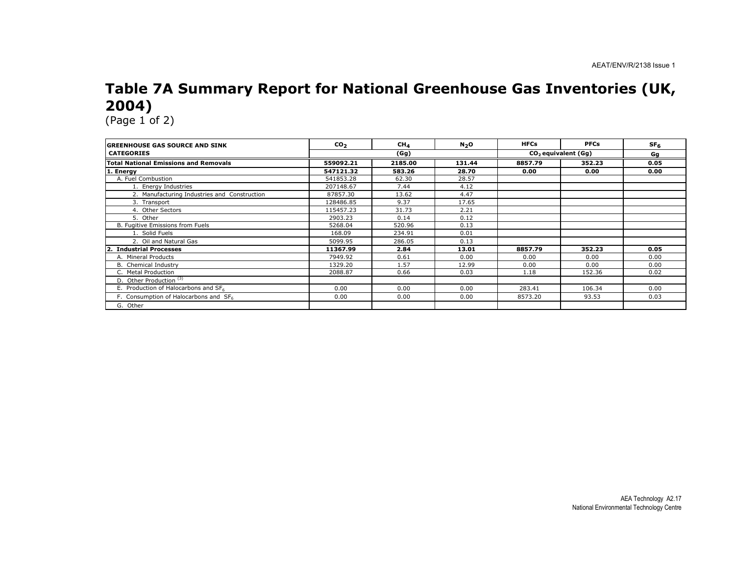## Table 7A Summary Report for National Greenhouse Gas Inventories (UK, 2004)

| <b>GREENHOUSE GAS SOURCE AND SINK</b>             | CO <sub>2</sub> | CH <sub>4</sub> | N <sub>2</sub> O | <b>HFCs</b> | <b>PFCs</b>                     | SF <sub>6</sub> |
|---------------------------------------------------|-----------------|-----------------|------------------|-------------|---------------------------------|-----------------|
| <b>CATEGORIES</b>                                 |                 | (Gg)            |                  |             | CO <sub>2</sub> equivalent (Gq) | Gg              |
| <b>Total National Emissions and Removals</b>      | 559092.21       | 2185.00         | 131.44           | 8857.79     | 352.23                          | 0.05            |
| 1. Energy                                         | 547121.32       | 583.26          | 28.70            | 0.00        | 0.00                            | 0.00            |
| A. Fuel Combustion                                | 541853.28       | 62.30           | 28.57            |             |                                 |                 |
| 1. Energy Industries                              | 207148.67       | 7.44            | 4.12             |             |                                 |                 |
| 2. Manufacturing Industries and Construction      | 87857.30        | 13.62           | 4.47             |             |                                 |                 |
| 3. Transport                                      | 128486.85       | 9.37            | 17.65            |             |                                 |                 |
| 4. Other Sectors                                  | 115457.23       | 31.73           | 2.21             |             |                                 |                 |
| 5. Other                                          | 2903.23         | 0.14            | 0.12             |             |                                 |                 |
| B. Fugitive Emissions from Fuels                  | 5268.04         | 520.96          | 0.13             |             |                                 |                 |
| 1. Solid Fuels                                    | 168.09          | 234.91          | 0.01             |             |                                 |                 |
| 2. Oil and Natural Gas                            | 5099.95         | 286.05          | 0.13             |             |                                 |                 |
| <b>Industrial Processes</b><br>$\mathbf{2}$       | 11367.99        | 2.84            | 13.01            | 8857.79     | 352.23                          | 0.05            |
| A. Mineral Products                               | 7949.92         | 0.61            | 0.00             | 0.00        | 0.00                            | 0.00            |
| B. Chemical Industry                              | 1329.20         | 1.57            | 12.99            | 0.00        | 0.00                            | 0.00            |
| C. Metal Production                               | 2088.87         | 0.66            | 0.03             | 1.18        | 152.36                          | 0.02            |
| D. Other Production <sup>(3)</sup>                |                 |                 |                  |             |                                 |                 |
| E. Production of Halocarbons and SF6              | 0.00            | 0.00            | 0.00             | 283.41      | 106.34                          | 0.00            |
| F. Consumption of Halocarbons and SF <sub>6</sub> | 0.00            | 0.00            | 0.00             | 8573.20     | 93.53                           | 0.03            |
| G. Other                                          |                 |                 |                  |             |                                 |                 |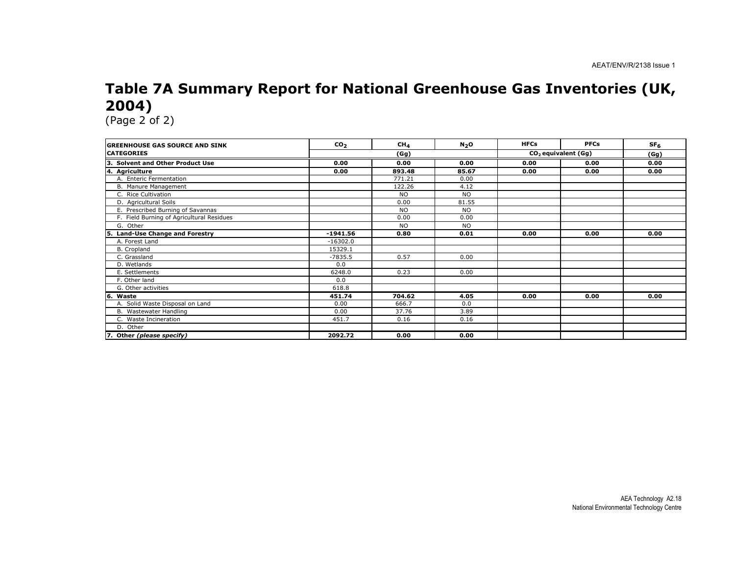# Table 7A Summary Report for National Greenhouse Gas Inventories (UK, 2004)

| <b>IGREENHOUSE GAS SOURCE AND SINK</b>    | CO <sub>2</sub> | CH <sub>4</sub> | N <sub>2</sub> O | <b>HFCs</b> | <b>PFCs</b>                     | SF <sub>6</sub> |
|-------------------------------------------|-----------------|-----------------|------------------|-------------|---------------------------------|-----------------|
| <b>CATEGORIES</b>                         |                 | (Gg)            |                  |             | CO <sub>2</sub> equivalent (Gg) | (Gg)            |
| Solvent and Other Product Use             | 0.00            | 0.00            | 0.00             | 0.00        | 0.00                            | 0.00            |
| 4. Agriculture                            | 0.00            | 893.48          | 85.67            | 0.00        | 0.00                            | 0.00            |
| A. Enteric Fermentation                   |                 | 771.21          | 0.00             |             |                                 |                 |
| B. Manure Management                      |                 | 122.26          | 4.12             |             |                                 |                 |
| C. Rice Cultivation                       |                 | <b>NO</b>       | <b>NO</b>        |             |                                 |                 |
| D. Agricultural Soils                     |                 | 0.00            | 81.55            |             |                                 |                 |
| E. Prescribed Burning of Savannas         |                 | <b>NO</b>       | <b>NO</b>        |             |                                 |                 |
| F. Field Burning of Agricultural Residues |                 | 0.00            | 0.00             |             |                                 |                 |
| G. Other                                  |                 | <b>NO</b>       | <b>NO</b>        |             |                                 |                 |
| <b>Land-Use Change and Forestry</b>       | $-1941.56$      | 0.80            | 0.01             | 0.00        | 0.00                            | 0.00            |
| A. Forest Land                            | $-16302.0$      |                 |                  |             |                                 |                 |
| B. Cropland                               | 15329.1         |                 |                  |             |                                 |                 |
| C. Grassland                              | $-7835.5$       | 0.57            | 0.00             |             |                                 |                 |
| D. Wetlands                               | 0.0             |                 |                  |             |                                 |                 |
| E. Settlements                            | 6248.0          | 0.23            | 0.00             |             |                                 |                 |
| F. Other land                             | 0.0             |                 |                  |             |                                 |                 |
| G. Other activities                       | 618.8           |                 |                  |             |                                 |                 |
| 66.<br>Waste                              | 451.74          | 704.62          | 4.05             | 0.00        | 0.00                            | 0.00            |
| A. Solid Waste Disposal on Land           | 0.00            | 666.7           | 0.0              |             |                                 |                 |
| B. Wastewater Handling                    | 0.00            | 37.76           | 3.89             |             |                                 |                 |
| C. Waste Incineration                     | 451.7           | 0.16            | 0.16             |             |                                 |                 |
| D. Other                                  |                 |                 |                  |             |                                 |                 |
| 7. Other (please specify)                 | 2092.72         | 0.00            | 0.00             |             |                                 |                 |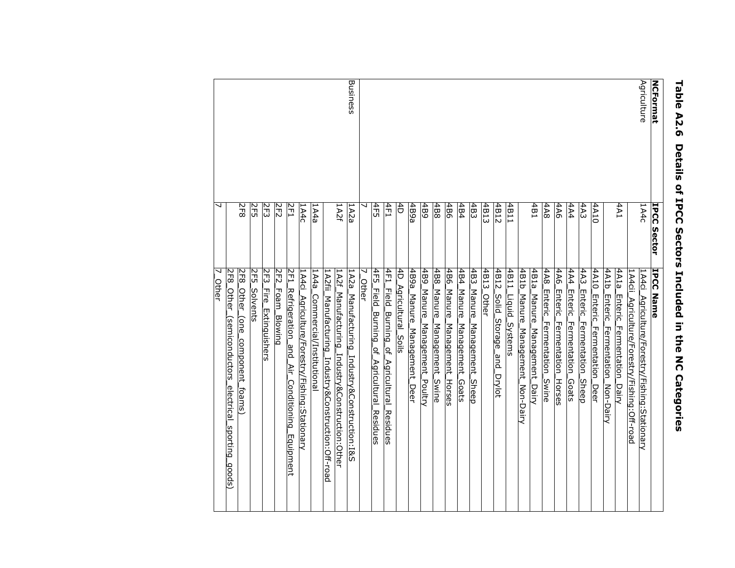| <b>NCFormat</b> | <b>IPCC Sector</b> | IPCC Name                                                                                           |
|-----------------|--------------------|-----------------------------------------------------------------------------------------------------|
| Agriculture     | 1A4c               | 1A4cii<br>1A4ci<br>Agriculture/Forestry/Fishing:Stationary<br>Agriculture/Forestry/Fishing:Off-road |
|                 | 1A4                | 4A1a<br><b>Enteric</b><br>Fermentation<br>_Dairy                                                    |
|                 |                    | 4A1b<br><b>Enteric</b><br>Fermentation_Non-Dairy                                                    |
|                 | 4A10               | 4A10<br>Enteric<br>Fer <u>mentation</u><br>Deer                                                     |
|                 | 4A3                | 4A3<br>Enteric<br>Fermentation<br>Sheep                                                             |
|                 | 4A4                | 4A4<br>Enteric<br>Fermentation<br>Goats                                                             |
|                 | 4A6                | 4A6<br><b>Enteric</b><br>Fermentation<br>Horses                                                     |
|                 | 4A8                | 4A8<br><b>Enteric</b><br>Fermentation<br>Swine                                                      |
|                 | 4B1                | $\frac{4B1a}{2}$<br>Manure<br>Management<br>Dairy                                                   |
|                 |                    | 4181<br>Manure<br>Management_<br>Non-Dairy                                                          |
|                 | 4B11               | 4B11<br><u>Liquid</u><br>Systems                                                                    |
|                 | 4B12               | 4B12<br>Solid_<br>Storage<br>and_<br>Drylot                                                         |
|                 | 4B13               | 4B13<br><u>Other</u>                                                                                |
|                 | 4B3                | 483<br>Manure<br>Management<br>Sheep                                                                |
|                 | 4B4                | 4B4<br>Manure<br>Management<br>Goats_                                                               |
|                 | 4B6                | 4B6<br>Manure<br>Management_<br>Horses                                                              |
|                 | 4B8                | 4B8<br>Manure<br>Management<br><u>Swine</u>                                                         |
|                 | 4B9                | 68 <sup>1</sup><br>Manure<br>Management_<br>Poultry_                                                |
|                 | 4B9a               | 489a<br>Manure<br>Management_Deer                                                                   |
|                 | dŧ                 | 4Þ<br><u>Agricultural</u><br>Soils                                                                  |
|                 | 4F1                | 4F1<br><u>Field.</u><br><u>Burning of </u><br><u>Agricultural</u><br><u>Residues</u>                |
|                 | 4F5                | 4F5<br>Field_<br><u>Burning of </u><br>Agricultural_Residues                                        |
|                 |                    | <b>Other</b>                                                                                        |
| Business        | 1A2a               | 1A2a<br>Manufacturing_Industry&Construction:I&S                                                     |
|                 | 142f               | 1A2f_<br>Manufacturing_Industry&Construction:Other                                                  |
|                 |                    | 1A2fii <sub>.</sub><br>Manufacturing<br>Industry&Construction:Off-road                              |
|                 | 1A4a               | 1A4a <sub>-</sub><br><u>Commercial/Institutiona</u>                                                 |
|                 | 1A4c               | 1A4c<br><u> Agriculture/Forestry/Fishing:Stationary</u>                                             |
|                 | 2F1                | 2F1<br><u>Refrigeration_and_</u><br>Air_<br>Conditioning_Equipment                                  |
|                 | 2F2                | 2F2<br>Foam_Blowing                                                                                 |
|                 | 2F3                | 2F3<br>高<br>Extinguishers                                                                           |
|                 | 2F5                | 2F5<br>Solvents                                                                                     |
|                 | $8 - 7$            | 2F8<br>Other_<br>(one_<br><u>component_foams)</u>                                                   |
|                 |                    | 2F8<br><b>Other</b><br>(semiconductors electrical sporting goods)                                   |
|                 |                    | ↘<br><u>Other</u>                                                                                   |

# Table A2.6 Details of IPCC Sectors Included in the NC Categories Table A2.6 Details of IPCC Sectors Included in the NC Categories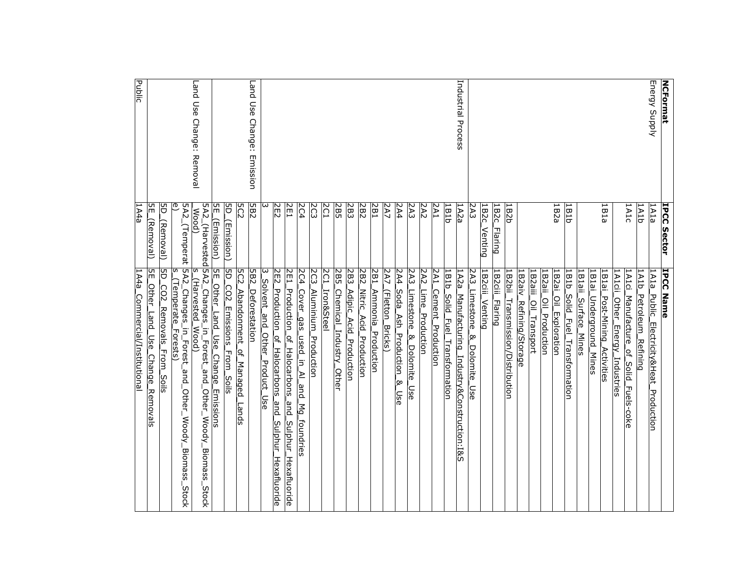| <b>NCFormat</b>           | <b>IPCC Sector</b>                   | <b>IPCC Name</b>                                                                              |
|---------------------------|--------------------------------------|-----------------------------------------------------------------------------------------------|
| Energy Supply             | 1A1a                                 | 1A1a<br>Public_Electricity&Heat_Production                                                    |
|                           | 1A1b                                 | TATD<br>Petroleum Refining                                                                    |
|                           | 1A1c                                 | <u> 1A1ci</u><br><u>Manufacture</u><br>'ءِ<br><b>Solid</b><br>Fuels-coke                      |
|                           |                                      | 1A1cii<br>Other_Energy_Industries                                                             |
|                           | 1B1a                                 | 1B1ai<br><u>Post-Mining_Activities</u>                                                        |
|                           |                                      | 1B1ai<br><u>Underground</u> Mines                                                             |
|                           |                                      | 1B1aii<br>Surface_Mines                                                                       |
|                           | 1B1b                                 | 1B1b_<br>Solid Fuel Transformation                                                            |
|                           | 1B2a                                 | 1B2ai<br>Oil_Exploration                                                                      |
|                           |                                      | 182aii_<br>Oil Production                                                                     |
|                           |                                      | B2aiii<br>.Oil_Transport                                                                      |
|                           |                                      | 1B2aiv<br>Refining/Storage                                                                    |
|                           | <b>LB2b</b>                          | <u>1B2bii</u><br><u>Transmission/Distribution</u>                                             |
|                           | IB2c<br><b>Flaring</b>               | 1B2ciii<br><b>Flaring</b>                                                                     |
|                           | 1B2c<br>Venting                      | 1B2ciii<br><u>Venting</u>                                                                     |
|                           | 2A3                                  | 2A3<br>Limestone<br>∣∞<br>Dolomite_Use                                                        |
| Industrial Process        | 1A2a                                 | 1A2a_<br>Manufacturing_Industry&Construction:I&S                                              |
|                           | 1B1D                                 | 181b<br>Solid_<br>Fuel<br>Transformation                                                      |
|                           | 2A1                                  | 2A1<br><b>Cement_Production</b>                                                               |
|                           | 2A2                                  | 2A2<br>Lime Production                                                                        |
|                           | 2A3                                  | 2A3 <sub>-</sub><br>Limestone<br>$\underline{8}$ Dolomite<br>use                              |
|                           | 2A4                                  | 2A4<br>Soda_Ash_Production<br>⊗<br>Use                                                        |
|                           | 2A7                                  | 2A7<br>(Fletton_Bricks)                                                                       |
|                           | 2B1                                  | 2B1<br><u>Ammonia Production</u>                                                              |
|                           | 282                                  | 282<br><b>Nitric</b><br>Acid Production                                                       |
|                           | 2B3                                  | 2B3<br>Adipic_Acid_Production                                                                 |
|                           | 2B5                                  | 2B5<br>Chemical Industry Other                                                                |
|                           | ΣC1                                  | 2C1<br><b>Iron&amp;Stee</b>                                                                   |
|                           | 203                                  | 2C3<br>Aluminium Production                                                                   |
|                           | 2C4                                  | 2C4<br>Cover_gas_<br><u>_used_in_Al_and</u><br>$\mathbb{N}_2$<br>foundries                    |
|                           | 2E1                                  | 2E1.<br>Production<br>ٍہ<br>"<br>Halocarbons<br>and_<br>La<br>Sulphur_<br><u>Hexafluoride</u> |
|                           | ZEZ                                  | 2E2<br>Production.<br>_of_Halocarbons<br>and_<br>Sulphur_<br><u>Hexafluoride</u>              |
|                           |                                      | 3_Solvent_and_Other_Product_Use                                                               |
| Land Use Change: Emission | 5B2                                  | 5B2<br>Deforestation                                                                          |
|                           | 5C2                                  | 205<br>Abandonment of Managed<br>Lands                                                        |
|                           | 5D_<br><u>(Emission)</u>             | 5D.<br>.CO2.<br><b>Emissions</b> From<br>Soils                                                |
|                           | 임<br><u>(Emission)</u>               | SE_Other_Land_Use_Change<br><b>Emissions</b>                                                  |
| Land Use Change: Removal  | 5A2_(Harvested 5A2_Changes_<br>Wood) | s<br>(Harvested_Wood)<br>in_Forest_and_<br>Other.<br>Woody_Biomass<br>Stock                   |
|                           |                                      | 5A2_(Temperat  5A2_Changes_in_Forest_and_Other_Woody_Biomass.<br>Stock                        |
|                           | ₾                                    | n<br>(Temperate<br>Forests)                                                                   |
|                           | ğ<br>(Removal)                       | 5D.<br>$\overline{C}$<br>Removals From<br>Soils                                               |
|                           | ξ<br><u>(Removal)</u>                | n<br>EE<br><u>Other_Land_Use</u><br>Change_Removals                                           |
| <b>Public</b>             | 1A4a                                 | 1A4a_Commercial/Institutional                                                                 |